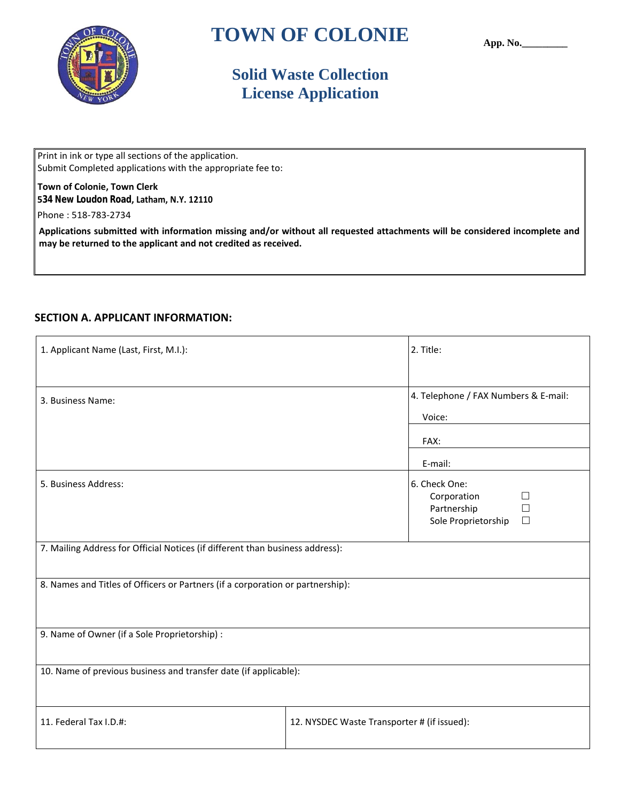

# **TOWN OF COLONIE**

**App. No.\_\_\_\_\_\_\_\_\_**

## **Solid Waste Collection License Application**

Submit Completed applications with the appropriate fee to: Print in ink or type all sections of the application.

#### **534 New Loudon Road, Latham, N.Y. 12110 Town of Colonie, Town Clerk**

Phone : 518-783-2734

**may be returned to the applicant and not credited as received. Applications submitted with information missing and/or without all requested attachments will be considered incomplete and**

## **SECTION A. APPLICANT INFORMATION:**

| 1. Applicant Name (Last, First, M.I.):                                         | 2. Title:                                                          |                                      |  |  |  |  |
|--------------------------------------------------------------------------------|--------------------------------------------------------------------|--------------------------------------|--|--|--|--|
| 3. Business Name:                                                              | Voice:                                                             | 4. Telephone / FAX Numbers & E-mail: |  |  |  |  |
|                                                                                | FAX:                                                               |                                      |  |  |  |  |
|                                                                                | E-mail:                                                            |                                      |  |  |  |  |
| 5. Business Address:                                                           | 6. Check One:<br>Corporation<br>Partnership<br>Sole Proprietorship | $\Box$<br>ப<br>$\Box$                |  |  |  |  |
| 7. Mailing Address for Official Notices (if different than business address):  |                                                                    |                                      |  |  |  |  |
| 8. Names and Titles of Officers or Partners (if a corporation or partnership): |                                                                    |                                      |  |  |  |  |
| 9. Name of Owner (if a Sole Proprietorship) :                                  |                                                                    |                                      |  |  |  |  |
| 10. Name of previous business and transfer date (if applicable):               |                                                                    |                                      |  |  |  |  |
| 11. Federal Tax I.D.#:                                                         | 12. NYSDEC Waste Transporter # (if issued):                        |                                      |  |  |  |  |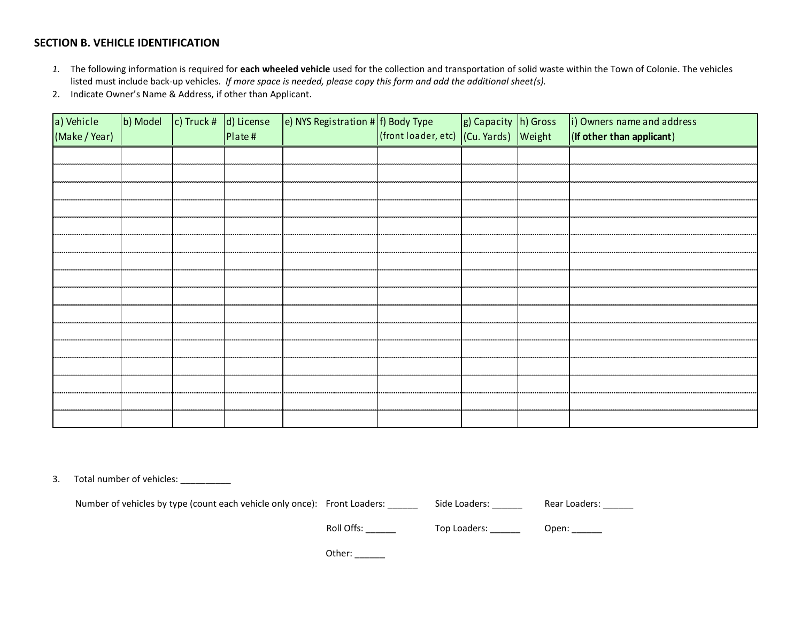### **SECTION B. VEHICLE IDENTIFICATION**

- *1.* The following information is required for **each wheeled vehicle** used for the collection and transportation of solid waste within the Town of Colonie. The vehicles listed must include back-up vehicles. *If more space is needed, please copy this form and add the additional sheet(s).*
- 2. Indicate Owner's Name & Address, if other than Applicant.

| a) Vehicle<br>(Make / Year) |                      |                               | Plate#                         | b) Model $\begin{bmatrix} c \end{bmatrix}$ Truck # $\begin{bmatrix} d \end{bmatrix}$ License $\begin{bmatrix} e \end{bmatrix}$ NYS Registration # f) Body Type |                          |                       | $\left  g \right $ Capacity $\left  h \right $ Gross $\left  i \right $ Owners name and address<br>$($ front loader, etc) $($ Cu. Yards) $\sqrt{$ Weight $\sqrt{$ (If other than applicant) |
|-----------------------------|----------------------|-------------------------------|--------------------------------|----------------------------------------------------------------------------------------------------------------------------------------------------------------|--------------------------|-----------------------|---------------------------------------------------------------------------------------------------------------------------------------------------------------------------------------------|
|                             |                      |                               |                                |                                                                                                                                                                |                          |                       |                                                                                                                                                                                             |
|                             |                      |                               |                                |                                                                                                                                                                |                          |                       |                                                                                                                                                                                             |
|                             |                      |                               |                                |                                                                                                                                                                |                          |                       |                                                                                                                                                                                             |
|                             | -------------------- | ,,,,,,,,,,,,,,,,,,,,,,,,,,,,, | ,,,,,,,,,,,,,,,,,,,,,,,,,,,,,, |                                                                                                                                                                | ________________________ | monomono mono         |                                                                                                                                                                                             |
|                             |                      |                               |                                |                                                                                                                                                                |                          |                       |                                                                                                                                                                                             |
|                             |                      |                               |                                |                                                                                                                                                                |                          |                       |                                                                                                                                                                                             |
|                             |                      |                               |                                |                                                                                                                                                                |                          |                       |                                                                                                                                                                                             |
|                             |                      |                               |                                |                                                                                                                                                                |                          |                       | <u>സാനാവസനസാനാവസനസാ</u>                                                                                                                                                                     |
|                             |                      | ---------------------         |                                |                                                                                                                                                                |                          | --------------------- |                                                                                                                                                                                             |
|                             |                      |                               |                                |                                                                                                                                                                |                          |                       |                                                                                                                                                                                             |
|                             |                      |                               |                                |                                                                                                                                                                |                          |                       |                                                                                                                                                                                             |
|                             |                      |                               |                                |                                                                                                                                                                |                          |                       |                                                                                                                                                                                             |
|                             |                      |                               |                                |                                                                                                                                                                |                          |                       |                                                                                                                                                                                             |
|                             |                      |                               |                                |                                                                                                                                                                |                          |                       |                                                                                                                                                                                             |
|                             |                      |                               |                                |                                                                                                                                                                |                          |                       |                                                                                                                                                                                             |

3. Total number of vehicles: \_\_\_\_\_\_\_\_\_\_

Number of vehicles by type (count each vehicle only once): Front Loaders: \_\_\_\_\_\_ Side Loaders: \_\_\_\_\_\_ Rear Loaders: \_\_\_\_\_

Roll Offs: \_\_\_\_\_\_ Top Loaders: \_\_\_\_\_\_ Open: \_\_\_\_\_

Other: \_\_\_\_\_\_\_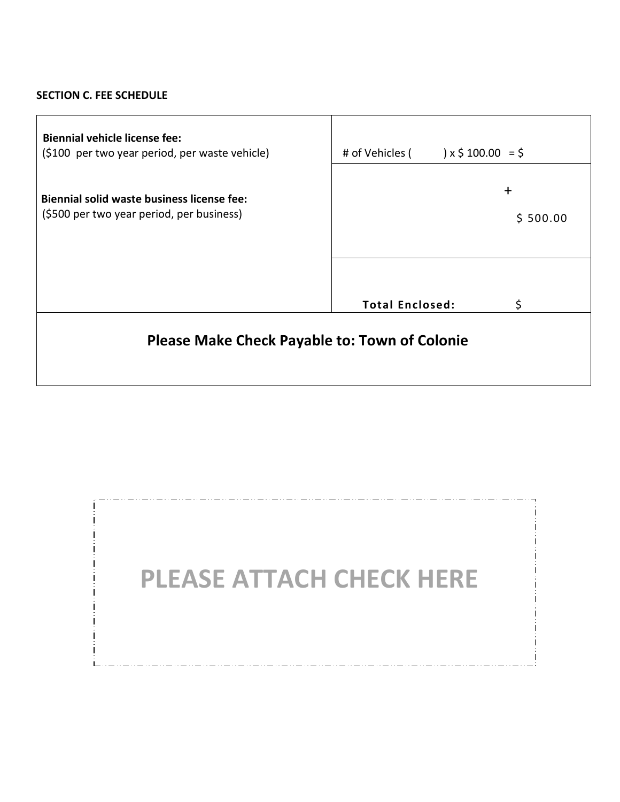## **SECTION C. FEE SCHEDULE**

| <b>Biennial vehicle license fee:</b><br>(\$100 per two year period, per waste vehicle)  | # of Vehicles (        | $\vert x \xi 100.00 \vert = \xi$ |  |  |  |  |
|-----------------------------------------------------------------------------------------|------------------------|----------------------------------|--|--|--|--|
| Biennial solid waste business license fee:<br>(\$500 per two year period, per business) |                        | $\ddot{}$<br>\$500.00            |  |  |  |  |
|                                                                                         | <b>Total Enclosed:</b> | \$                               |  |  |  |  |
| <b>Please Make Check Payable to: Town of Colonie</b>                                    |                        |                                  |  |  |  |  |